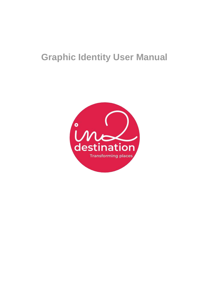# **Graphic Identity User Manual**

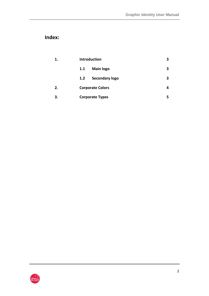# **Index:**

| 1. | <b>Introduction</b>          |   |
|----|------------------------------|---|
|    | <b>Main logo</b><br>1.1      | 3 |
|    | <b>Secondary logo</b><br>1.2 |   |
| 2. | <b>Corporate Colors</b>      |   |
| 3. | <b>Corporate Types</b>       |   |

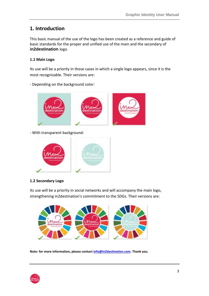### **1. Introduction**

This basic manual of the use of the logo has been created as a reference and guide of basic standards for the proper and unified use of the main and the secondary of **in2destination** logo.

#### **1.1 Main Logo**

Its use will be a priority in those cases in which a single logo appears, since it is the most recognizable. Their versions are:



- Depending on the background color:

- With transparent background:



#### **1.2 Secondary Logo**

Its use will be a priority in social networks and will accompany the main logo, strengthening in2destination's commitment to the SDGs. Their versions are:



**Note: for more information, please contact [info@in2destination.com.](mailto:info@in2destination.com?subject=Duda%20sobre%20uso%20de%20logotipo) Thank you.**

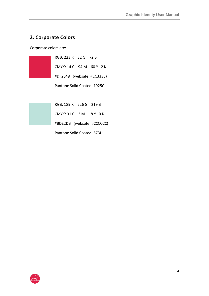# **2. Corporate Colors**

Corporate colors are:

| RGB: 223 R 32 G 72 B        |  |  |
|-----------------------------|--|--|
| CMYK: 14 C 94 M 60 Y 2 K    |  |  |
| #DF2048 (websafe: #CC3333)  |  |  |
| Pantone Solid Coated: 1925C |  |  |

| RGB: 189 R 226 G 219 B     |  |  |  |  |  |  |  |
|----------------------------|--|--|--|--|--|--|--|
| CMYK: 31 C 2 M 18 Y 0 K    |  |  |  |  |  |  |  |
| #BDE2DB (websafe: #CCCCCC) |  |  |  |  |  |  |  |
| Pantone Solid Coated: 573U |  |  |  |  |  |  |  |